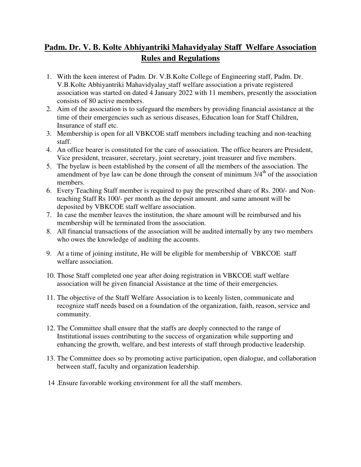## **Padm. Dr. V. B. Kolte Abhiyantriki Mahavidyalay Staff Welfare Association Rules and Regulations**

- 1. With the keen interest of Padm. Dr. V.B.Kolte College of Engineering staff, Padm. Dr. V.B.Kolte Abhiyantriki Mahavidyalay staff welfare association a private registered association was started on dated 4 January 2022 with 11 members, presently the association consists of 80 active members.
- 2. Aim of the association is to safeguard the members by providing financial assistance at the time of their emergencies such as serious diseases, Education loan for Staff Children, Insurance of staff etc.
- 3. Membership is open for all VBKCOE staff members including teaching and non-teaching staff.
- 4. An office bearer is constituted for the care of association. The office bearers are President, Vice president, treasurer, secretary, joint secretary, joint treasurer and five members.
- 5. The byelaw is been established by the consent of all the members of the association. The amendment of bye law can be done through the consent of minimum  $3/4<sup>th</sup>$  of the association members.
- 6. Every Teaching Staff member is required to pay the prescribed share of Rs. 200/- and Nonteaching Staff Rs 100/- per month as the deposit amount. and same amount will be deposited by VBKCOE staff welfare association.
- 7. In case the member leaves the institution, the share amount will be reimbursed and his membership will be terminated from the association.
- 8. All financial transactions of the association will be audited internally by any two members who owes the knowledge of auditing the accounts.
- 9. At a time of joining institute, He will be eligible for membership of VBKCOE staff welfare association.
- 10. Those Staff completed one year after doing registration in VBKCOE staff welfare association will be given financial Assistance at the time of their emergencies.
- 11. The objective of the Staff Welfare Association is to keenly listen, communicate and recognize staff needs based on a foundation of the organization, faith, reason, service and community.
- 12. The Committee shall ensure that the staffs are deeply connected to the range of Institutional issues contributing to the success of organization while supporting and enhancing the growth, welfare, and best interests of staff through productive leadership.
- 13. The Committee does so by promoting active participation, open dialogue, and collaboration between staff, faculty and organization leadership.
- 14 .Ensure favorable working environment for all the staff members.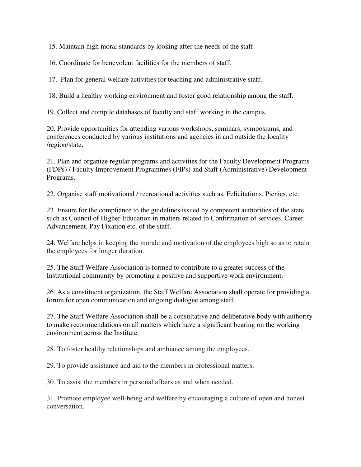15. Maintain high moral standards by looking after the needs of the staff

16. Coordinate for benevolent facilities for the members of staff.

17. Plan for general welfare activities for teaching and administrative staff.

18. Build a healthy working environment and foster good relationship among the staff.

19. Collect and compile databases of faculty and staff working in the campus.

20. Provide opportunities for attending various workshops, seminars, symposiums, and conferences conducted by various institutions and agencies in and outside the locality /region/state.

21. Plan and organize regular programs and activities for the Faculty Development Programs (FDPs) / Faculty Improvement Programmes (FIPs) and Staff (Administrative) Development Programs.

22. Organise staff motivational / recreational activities such as, Felicitations, Picnics, etc.

23. Ensure for the compliance to the guidelines issued by competent authorities of the state such as Council of Higher Education in matters related to Confirmation of services, Career Advancement, Pay Fixation etc. of the staff.

24. Welfare helps in keeping the morale and motivation of the employees high so as to retain the employees for longer duration.

25. The Staff Welfare Association is formed to contribute to a greater success of the Institutional community by promoting a positive and supportive work environment.

26. As a constituent organization, the Staff Welfare Association shall operate for providing a forum for open communication and ongoing dialogue among staff.

27. The Staff Welfare Association shall be a consultative and deliberative body with authority to make recommendations on all matters which have a significant bearing on the working environment across the Institute.

28. To foster healthy relationships and ambiance among the employees.

29. To provide assistance and aid to the members in professional matters.

30. To assist the members in personal affairs as and when needed.

31. Promote employee well-being and welfare by encouraging a culture of open and honest conversation.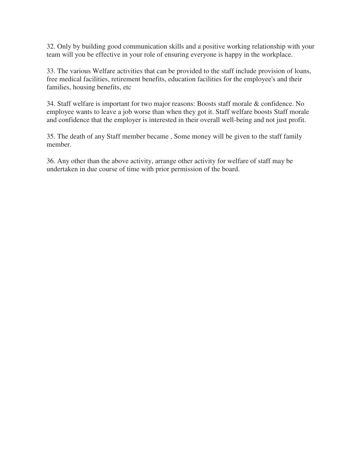32. Only by building good communication skills and a positive working relationship with your team will you be effective in your role of ensuring everyone is happy in the workplace.

33. The various Welfare activities that can be provided to the staff include provision of loans, free medical facilities, retirement benefits, education facilities for the employee's and their families, housing benefits, etc

34. Staff welfare is important for two major reasons: Boosts staff morale & confidence. No employee wants to leave a job worse than when they got it. Staff welfare boosts Staff morale and confidence that the employer is interested in their overall well-being and not just profit.

35. The death of any Staff member became , Some money will be given to the staff family member.

36. Any other than the above activity, arrange other activity for welfare of staff may be undertaken in due course of time with prior permission of the board.